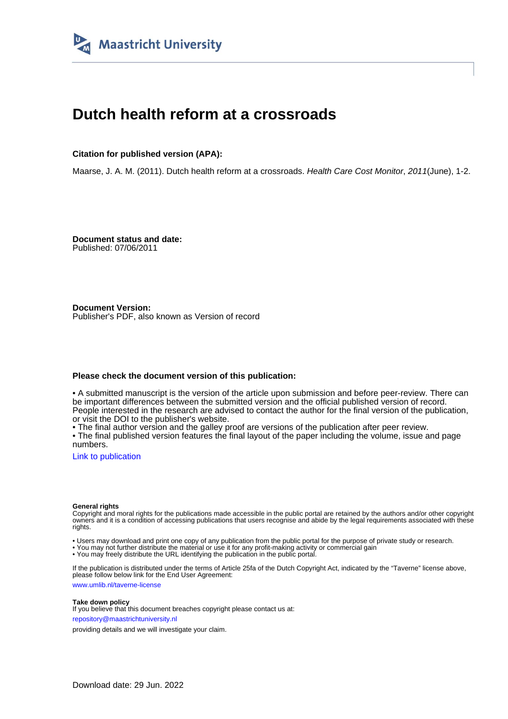

### **Dutch health reform at a crossroads**

#### **Citation for published version (APA):**

Maarse, J. A. M. (2011). Dutch health reform at a crossroads. Health Care Cost Monitor, 2011(June), 1-2.

**Document status and date:** Published: 07/06/2011

**Document Version:** Publisher's PDF, also known as Version of record

#### **Please check the document version of this publication:**

• A submitted manuscript is the version of the article upon submission and before peer-review. There can be important differences between the submitted version and the official published version of record. People interested in the research are advised to contact the author for the final version of the publication, or visit the DOI to the publisher's website.

• The final author version and the galley proof are versions of the publication after peer review.

• The final published version features the final layout of the paper including the volume, issue and page numbers.

[Link to publication](https://cris.maastrichtuniversity.nl/en/publications/7ee02637-eab0-49be-9b84-6f61ac4143b8)

#### **General rights**

Copyright and moral rights for the publications made accessible in the public portal are retained by the authors and/or other copyright owners and it is a condition of accessing publications that users recognise and abide by the legal requirements associated with these rights.

• Users may download and print one copy of any publication from the public portal for the purpose of private study or research.

• You may not further distribute the material or use it for any profit-making activity or commercial gain

• You may freely distribute the URL identifying the publication in the public portal.

If the publication is distributed under the terms of Article 25fa of the Dutch Copyright Act, indicated by the "Taverne" license above, please follow below link for the End User Agreement:

www.umlib.nl/taverne-license

#### **Take down policy**

If you believe that this document breaches copyright please contact us at: repository@maastrichtuniversity.nl

providing details and we will investigate your claim.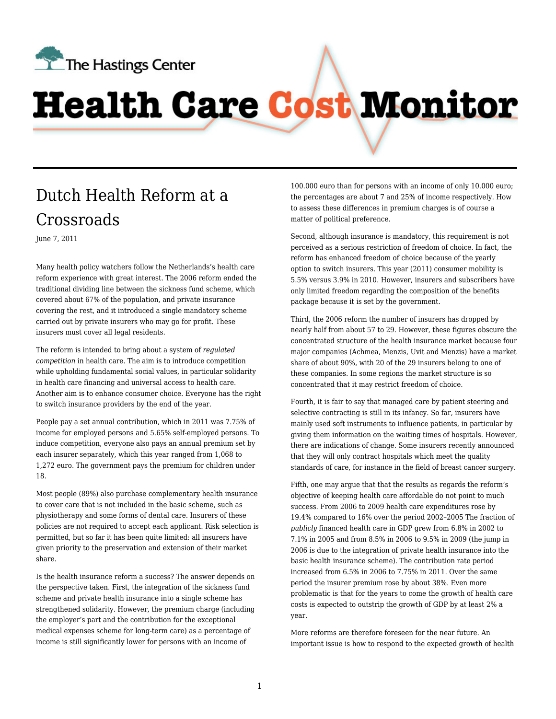

# **Health Care Cost Monitor**

## [Dutch Health Reform at a](http://healthcarecostmonitor.thehastingscenter.org/hansmaarse/dutch-health-reform-at-a-crossroads/) [Crossroads](http://healthcarecostmonitor.thehastingscenter.org/hansmaarse/dutch-health-reform-at-a-crossroads/)

June 7, 2011

Many health policy watchers follow the Netherlands's health care reform experience with great interest. The 2006 reform ended the traditional dividing line between the sickness fund scheme, which covered about 67% of the population, and private insurance covering the rest, and it introduced a single mandatory scheme carried out by private insurers who may go for profit. These insurers must cover all legal residents.

The reform is intended to bring about a system of *regulated competition* in health care. The aim is to introduce competition while upholding fundamental social values, in particular solidarity in health care financing and universal access to health care. Another aim is to enhance consumer choice. Everyone has the right to switch insurance providers by the end of the year.

People pay a set annual contribution, which in 2011 was 7.75% of income for employed persons and 5.65% self-employed persons. To induce competition, everyone also pays an annual premium set by each insurer separately, which this year ranged from 1,068 to 1,272 euro. The government pays the premium for children under 18.

Most people (89%) also purchase complementary health insurance to cover care that is not included in the basic scheme, such as physiotherapy and some forms of dental care. Insurers of these policies are not required to accept each applicant. Risk selection is permitted, but so far it has been quite limited: all insurers have given priority to the preservation and extension of their market share.

Is the health insurance reform a success? The answer depends on the perspective taken. First, the integration of the sickness fund scheme and private health insurance into a single scheme has strengthened solidarity. However, the premium charge (including the employer's part and the contribution for the exceptional medical expenses scheme for long-term care) as a percentage of income is still significantly lower for persons with an income of

100.000 euro than for persons with an income of only 10.000 euro; the percentages are about 7 and 25% of income respectively. How to assess these differences in premium charges is of course a matter of political preference.

Second, although insurance is mandatory, this requirement is not perceived as a serious restriction of freedom of choice. In fact, the reform has enhanced freedom of choice because of the yearly option to switch insurers. This year (2011) consumer mobility is 5.5% versus 3.9% in 2010. However, insurers and subscribers have only limited freedom regarding the composition of the benefits package because it is set by the government.

Third, the 2006 reform the number of insurers has dropped by nearly half from about 57 to 29. However, these figures obscure the concentrated structure of the health insurance market because four major companies (Achmea, Menzis, Uvit and Menzis) have a market share of about 90%, with 20 of the 29 insurers belong to one of these companies. In some regions the market structure is so concentrated that it may restrict freedom of choice.

Fourth, it is fair to say that managed care by patient steering and selective contracting is still in its infancy. So far, insurers have mainly used soft instruments to influence patients, in particular by giving them information on the waiting times of hospitals. However, there are indications of change. Some insurers recently announced that they will only contract hospitals which meet the quality standards of care, for instance in the field of breast cancer surgery.

Fifth, one may argue that that the results as regards the reform's objective of keeping health care affordable do not point to much success. From 2006 to 2009 health care expenditures rose by 19.4% compared to 16% over the period 2002–2005 The fraction of *publicly* financed health care in GDP grew from 6.8% in 2002 to 7.1% in 2005 and from 8.5% in 2006 to 9.5% in 2009 (the jump in 2006 is due to the integration of private health insurance into the basic health insurance scheme). The contribution rate period increased from 6.5% in 2006 to 7.75% in 2011. Over the same period the insurer premium rose by about 38%. Even more problematic is that for the years to come the growth of health care costs is expected to outstrip the growth of GDP by at least 2% a year.

More reforms are therefore foreseen for the near future. An important issue is how to respond to the expected growth of health